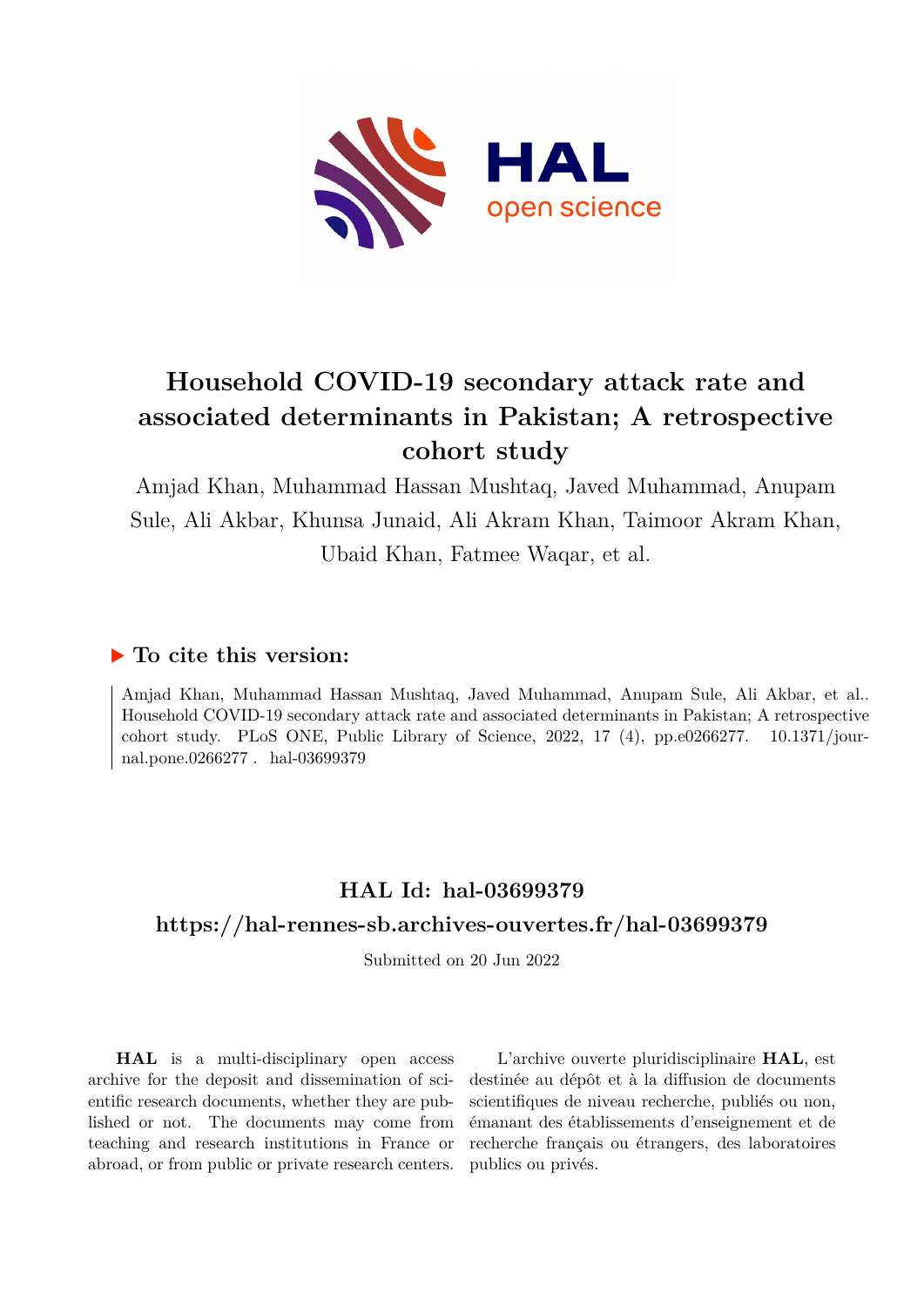

# **Household COVID-19 secondary attack rate and associated determinants in Pakistan; A retrospective cohort study**

Amjad Khan, Muhammad Hassan Mushtaq, Javed Muhammad, Anupam Sule, Ali Akbar, Khunsa Junaid, Ali Akram Khan, Taimoor Akram Khan, Ubaid Khan, Fatmee Waqar, et al.

# **To cite this version:**

Amjad Khan, Muhammad Hassan Mushtaq, Javed Muhammad, Anupam Sule, Ali Akbar, et al.. Household COVID-19 secondary attack rate and associated determinants in Pakistan; A retrospective cohort study. PLoS ONE, Public Library of Science, 2022, 17  $(4)$ , pp.e0266277. 10.1371/journal.pone.0266277 . hal-03699379

# **HAL Id: hal-03699379**

## **<https://hal-rennes-sb.archives-ouvertes.fr/hal-03699379>**

Submitted on 20 Jun 2022

**HAL** is a multi-disciplinary open access archive for the deposit and dissemination of scientific research documents, whether they are published or not. The documents may come from teaching and research institutions in France or abroad, or from public or private research centers.

L'archive ouverte pluridisciplinaire **HAL**, est destinée au dépôt et à la diffusion de documents scientifiques de niveau recherche, publiés ou non, émanant des établissements d'enseignement et de recherche français ou étrangers, des laboratoires publics ou privés.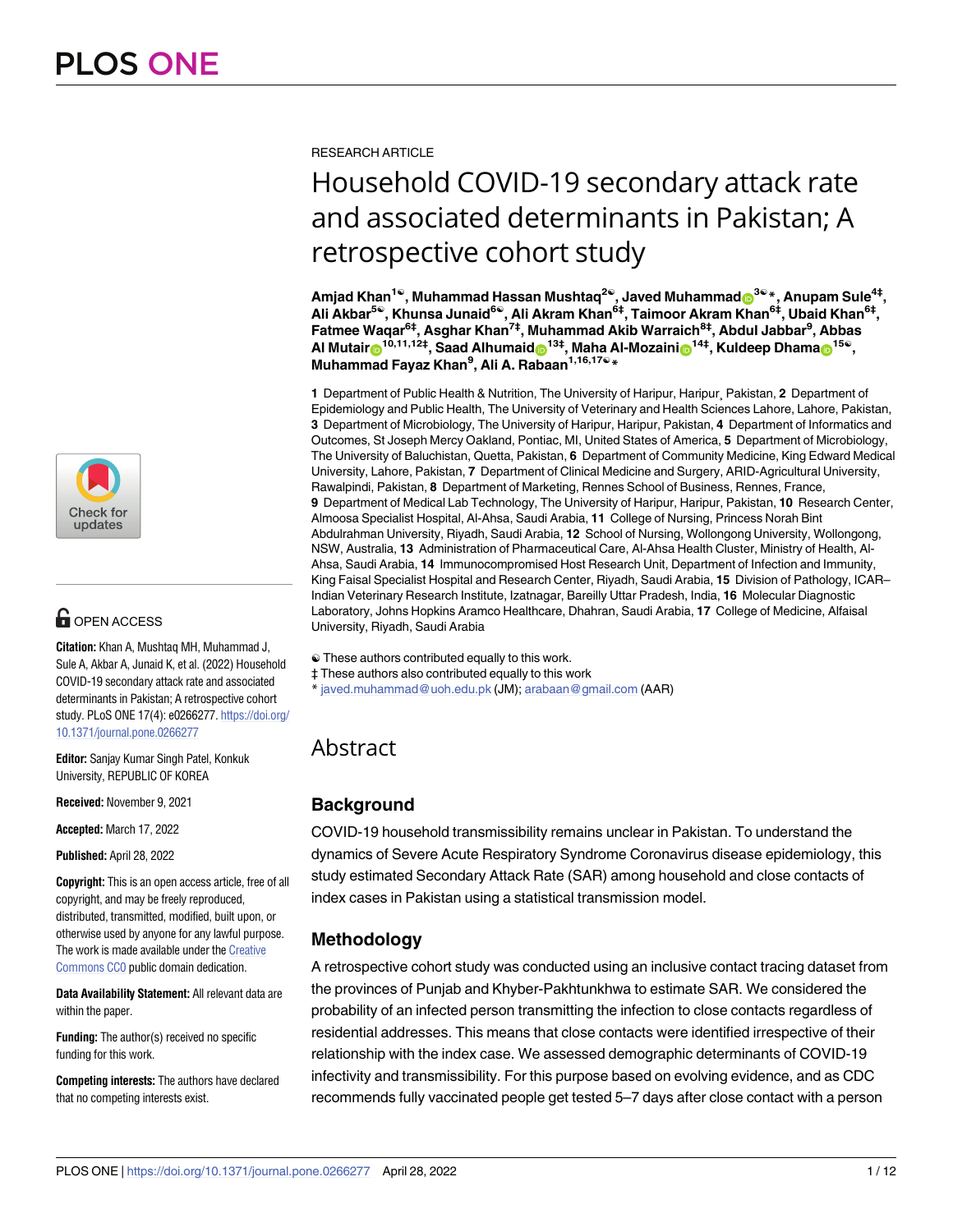

# $\blacksquare$  OPEN ACCESS

**Citation:** Khan A, Mushtaq MH, Muhammad J, Sule A, Akbar A, Junaid K, et al. (2022) Household COVID-19 secondary attack rate and associated determinants in Pakistan; A retrospective cohort study. PLoS ONE 17(4): e0266277. [https://doi.org/](https://doi.org/10.1371/journal.pone.0266277) [10.1371/journal.pone.0266277](https://doi.org/10.1371/journal.pone.0266277)

**Editor:** Sanjay Kumar Singh Patel, Konkuk University, REPUBLIC OF KOREA

**Received:** November 9, 2021

**Accepted:** March 17, 2022

**Published:** April 28, 2022

**Copyright:** This is an open access article, free of all copyright, and may be freely reproduced, distributed, transmitted, modified, built upon, or otherwise used by anyone for any lawful purpose. The work is made available under the [Creative](https://creativecommons.org/publicdomain/zero/1.0/) [Commons](https://creativecommons.org/publicdomain/zero/1.0/) CC0 public domain dedication.

**Data Availability Statement:** All relevant data are within the paper.

**Funding:** The author(s) received no specific funding for this work.

**Competing interests:** The authors have declared that no competing interests exist.

RESEARCH ARTICLE

# Household COVID-19 secondary attack rate and associated determinants in Pakistan; A retrospective cohort study

 $Amjad Khan<sup>1</sup>$ , Muhammad Hassan Mushtaq<sup>2©</sup>, Javed Muhammad $\mathbf{D}^{3\mathbb{O} *}$ , Anupam Sule<sup>4‡</sup>, **Ali Akbar5**☯**, Khunsa Junaid6**☯**, Ali Akram Khan6‡, Taimoor Akram Khan6‡, Ubaid Khan6‡, Fatmee Waqar6‡, Asghar Khan7‡, Muhammad Akib Warraich8‡, Abdul Jabbar9 , Abbas Al** Mutair<sup>o</sup><sup>10,11,12‡, Saad Alhumaid<sup>o13‡</sup>, Maha Al-Mozaini<sup>o14‡</sup>, Kuldeep Dhama<sup>o15</sup>°,</sup> **Muhammad Fayaz Khan9 , Ali A. Rabaan1,16,17**☯**\***

**1** Department of Public Health & Nutrition, The University of Haripur, Haripur¸ Pakistan, **2** Department of Epidemiology and Public Health, The University of Veterinary and Health Sciences Lahore, Lahore, Pakistan, **3** Department of Microbiology, The University of Haripur, Haripur, Pakistan, **4** Department of Informatics and Outcomes, St Joseph Mercy Oakland, Pontiac, MI, United States of America, **5** Department of Microbiology, The University of Baluchistan, Quetta, Pakistan, **6** Department of Community Medicine, King Edward Medical University, Lahore, Pakistan, **7** Department of Clinical Medicine and Surgery, ARID-Agricultural University, Rawalpindi, Pakistan, **8** Department of Marketing, Rennes School of Business, Rennes, France, **9** Department of Medical Lab Technology, The University of Haripur, Haripur, Pakistan, **10** Research Center, Almoosa Specialist Hospital, Al-Ahsa, Saudi Arabia, **11** College of Nursing, Princess Norah Bint Abdulrahman University, Riyadh, Saudi Arabia, **12** School of Nursing, Wollongong University, Wollongong, NSW, Australia, **13** Administration of Pharmaceutical Care, Al-Ahsa Health Cluster, Ministry of Health, Al-Ahsa, Saudi Arabia, **14** Immunocompromised Host Research Unit, Department of Infection and Immunity, King Faisal Specialist Hospital and Research Center, Riyadh, Saudi Arabia, **15** Division of Pathology, ICAR– Indian Veterinary Research Institute, Izatnagar, Bareilly Uttar Pradesh, India, **16** Molecular Diagnostic Laboratory, Johns Hopkins Aramco Healthcare, Dhahran, Saudi Arabia, **17** College of Medicine, Alfaisal University, Riyadh, Saudi Arabia

- ☯ These authors contributed equally to this work.
- ‡ These authors also contributed equally to this work
- \* javed.muhammad@uoh.edu.pk (JM); arabaan@gmail.com (AAR)

## Abstract

## **Background**

COVID-19 household transmissibility remains unclear in Pakistan. To understand the dynamics of Severe Acute Respiratory Syndrome Coronavirus disease epidemiology, this study estimated Secondary Attack Rate (SAR) among household and close contacts of index cases in Pakistan using a statistical transmission model.

## **Methodology**

A retrospective cohort study was conducted using an inclusive contact tracing dataset from the provinces of Punjab and Khyber-Pakhtunkhwa to estimate SAR. We considered the probability of an infected person transmitting the infection to close contacts regardless of residential addresses. This means that close contacts were identified irrespective of their relationship with the index case. We assessed demographic determinants of COVID-19 infectivity and transmissibility. For this purpose based on evolving evidence, and as CDC recommends fully vaccinated people get tested 5–7 days after close contact with a person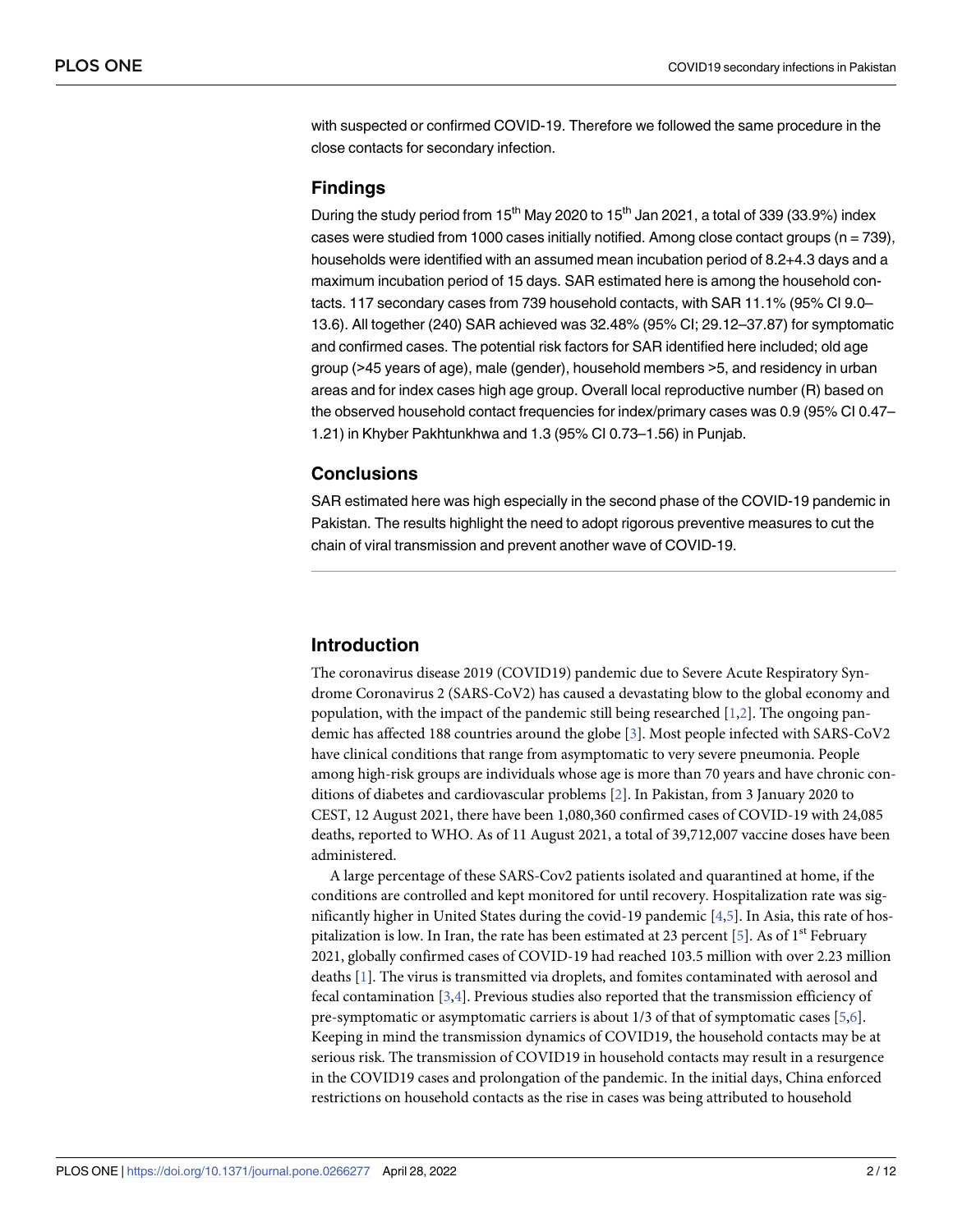with suspected or confirmed COVID-19. Therefore we followed the same procedure in the close contacts for secondary infection.

#### **Findings**

During the study period from  $15<sup>th</sup>$  May 2020 to  $15<sup>th</sup>$  Jan 2021, a total of 339 (33.9%) index cases were studied from 1000 cases initially notified. Among close contact groups ( $n = 739$ ), households were identified with an assumed mean incubation period of 8.2+4.3 days and a maximum incubation period of 15 days. SAR estimated here is among the household contacts. 117 secondary cases from 739 household contacts, with SAR 11.1% (95% CI 9.0– 13.6). All together (240) SAR achieved was 32.48% (95% CI; 29.12–37.87) for symptomatic and confirmed cases. The potential risk factors for SAR identified here included; old age group (>45 years of age), male (gender), household members >5, and residency in urban areas and for index cases high age group. Overall local reproductive number (R) based on the observed household contact frequencies for index/primary cases was 0.9 (95% CI 0.47– 1.21) in Khyber Pakhtunkhwa and 1.3 (95% CI 0.73–1.56) in Punjab.

## **Conclusions**

SAR estimated here was high especially in the second phase of the COVID-19 pandemic in Pakistan. The results highlight the need to adopt rigorous preventive measures to cut the chain of viral transmission and prevent another wave of COVID-19.

## **Introduction**

The coronavirus disease 2019 (COVID19) pandemic due to Severe Acute Respiratory Syndrome Coronavirus 2 (SARS-CoV2) has caused a devastating blow to the global economy and population, with the impact of the pandemic still being researched [1,2]. The ongoing pandemic has affected 188 countries around the globe [3]. Most people infected with SARS-CoV2 have clinical conditions that range from asymptomatic to very severe pneumonia. People among high-risk groups are individuals whose age is more than 70 years and have chronic conditions of diabetes and cardiovascular problems [2]. In Pakistan, from 3 January 2020 to CEST, 12 August 2021, there have been 1,080,360 confirmed cases of COVID-19 with 24,085 deaths, reported to WHO. As of 11 August 2021, a total of 39,712,007 vaccine doses have been administered.

A large percentage of these SARS-Cov2 patients isolated and quarantined at home, if the conditions are controlled and kept monitored for until recovery. Hospitalization rate was significantly higher in United States during the covid-19 pandemic [4,5]. In Asia, this rate of hospitalization is low. In Iran, the rate has been estimated at 23 percent [5]. As of  $1<sup>st</sup>$  February 2021, globally confirmed cases of COVID-19 had reached 103.5 million with over 2.23 million deaths [1]. The virus is transmitted via droplets, and fomites contaminated with aerosol and fecal contamination [3,4]. Previous studies also reported that the transmission efficiency of pre-symptomatic or asymptomatic carriers is about 1/3 of that of symptomatic cases [5,6]. Keeping in mind the transmission dynamics of COVID19, the household contacts may be at serious risk. The transmission of COVID19 in household contacts may result in a resurgence in the COVID19 cases and prolongation of the pandemic. In the initial days, China enforced restrictions on household contacts as the rise in cases was being attributed to household

PLOS ONE | <https://doi.org/10.1371/journal.pone.0266277> April 28, 2022 **2 / 12**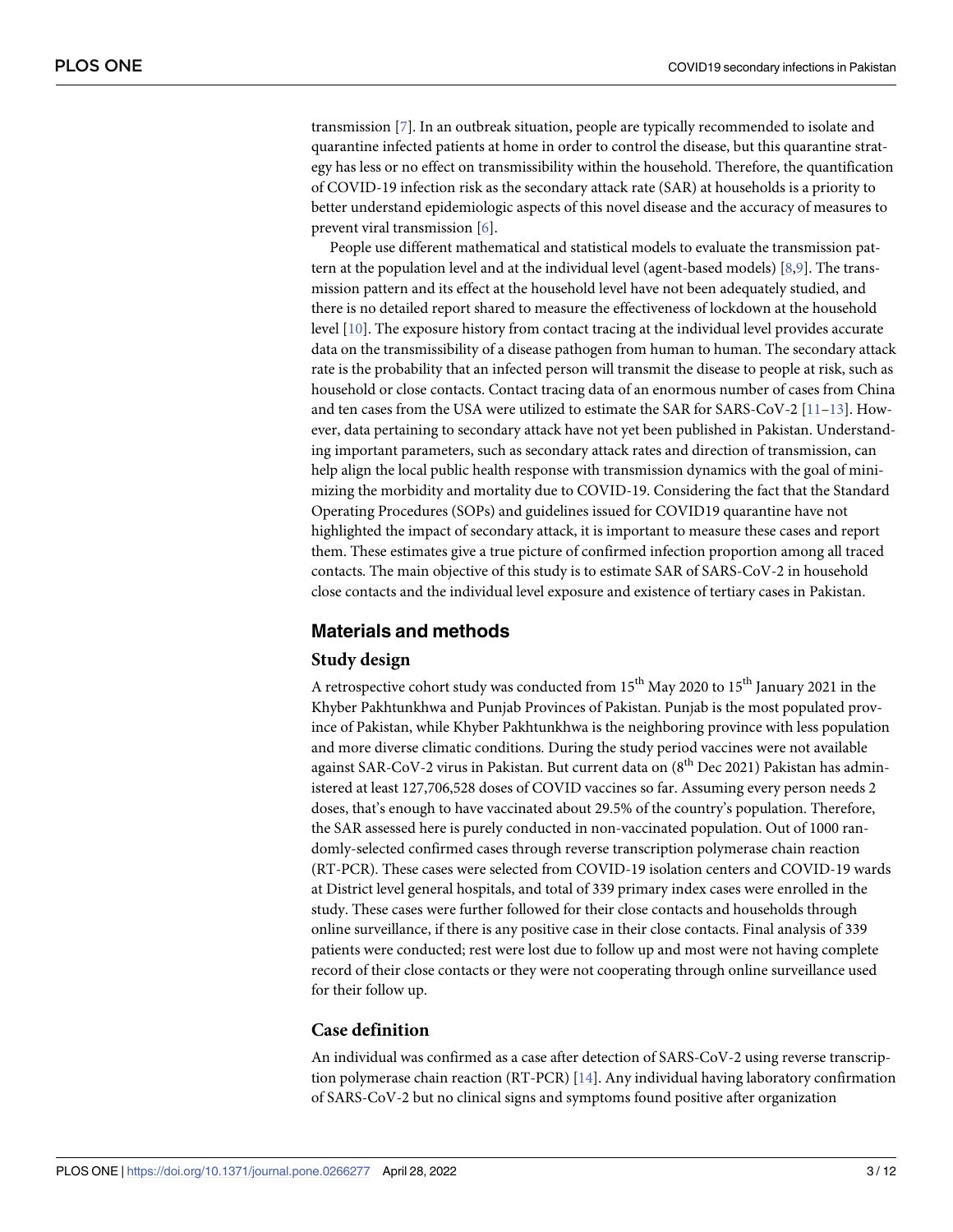transmission [7]. In an outbreak situation, people are typically recommended to isolate and quarantine infected patients at home in order to control the disease, but this quarantine strategy has less or no effect on transmissibility within the household. Therefore, the quantification of COVID-19 infection risk as the secondary attack rate (SAR) at households is a priority to better understand epidemiologic aspects of this novel disease and the accuracy of measures to prevent viral transmission [6].

People use different mathematical and statistical models to evaluate the transmission pattern at the population level and at the individual level (agent-based models) [8,9]. The transmission pattern and its effect at the household level have not been adequately studied, and there is no detailed report shared to measure the effectiveness of lockdown at the household level [10]. The exposure history from contact tracing at the individual level provides accurate data on the transmissibility of a disease pathogen from human to human. The secondary attack rate is the probability that an infected person will transmit the disease to people at risk, such as household or close contacts. Contact tracing data of an enormous number of cases from China and ten cases from the USA were utilized to estimate the SAR for SARS-CoV-2 [11–13]. However, data pertaining to secondary attack have not yet been published in Pakistan. Understanding important parameters, such as secondary attack rates and direction of transmission, can help align the local public health response with transmission dynamics with the goal of minimizing the morbidity and mortality due to COVID-19. Considering the fact that the Standard Operating Procedures (SOPs) and guidelines issued for COVID19 quarantine have not highlighted the impact of secondary attack, it is important to measure these cases and report them. These estimates give a true picture of confirmed infection proportion among all traced contacts. The main objective of this study is to estimate SAR of SARS-CoV-2 in household close contacts and the individual level exposure and existence of tertiary cases in Pakistan.

#### **Materials and methods**

#### **Study design**

A retrospective cohort study was conducted from  $15^{th}$  May 2020 to  $15^{th}$  January 2021 in the Khyber Pakhtunkhwa and Punjab Provinces of Pakistan. Punjab is the most populated province of Pakistan, while Khyber Pakhtunkhwa is the neighboring province with less population and more diverse climatic conditions. During the study period vaccines were not available against SAR-CoV-2 virus in Pakistan. But current data on  $(8<sup>th</sup>$  Dec 2021) Pakistan has administered at least 127,706,528 doses of COVID vaccines so far. Assuming every person needs 2 doses, that's enough to have vaccinated about 29.5% of the country's population. Therefore, the SAR assessed here is purely conducted in non-vaccinated population. Out of 1000 randomly-selected confirmed cases through reverse transcription polymerase chain reaction (RT-PCR). These cases were selected from COVID-19 isolation centers and COVID-19 wards at District level general hospitals, and total of 339 primary index cases were enrolled in the study. These cases were further followed for their close contacts and households through online surveillance, if there is any positive case in their close contacts. Final analysis of 339 patients were conducted; rest were lost due to follow up and most were not having complete record of their close contacts or they were not cooperating through online surveillance used for their follow up.

#### **Case definition**

An individual was confirmed as a case after detection of SARS-CoV-2 using reverse transcription polymerase chain reaction (RT-PCR) [14]. Any individual having laboratory confirmation of SARS-CoV-2 but no clinical signs and symptoms found positive after organization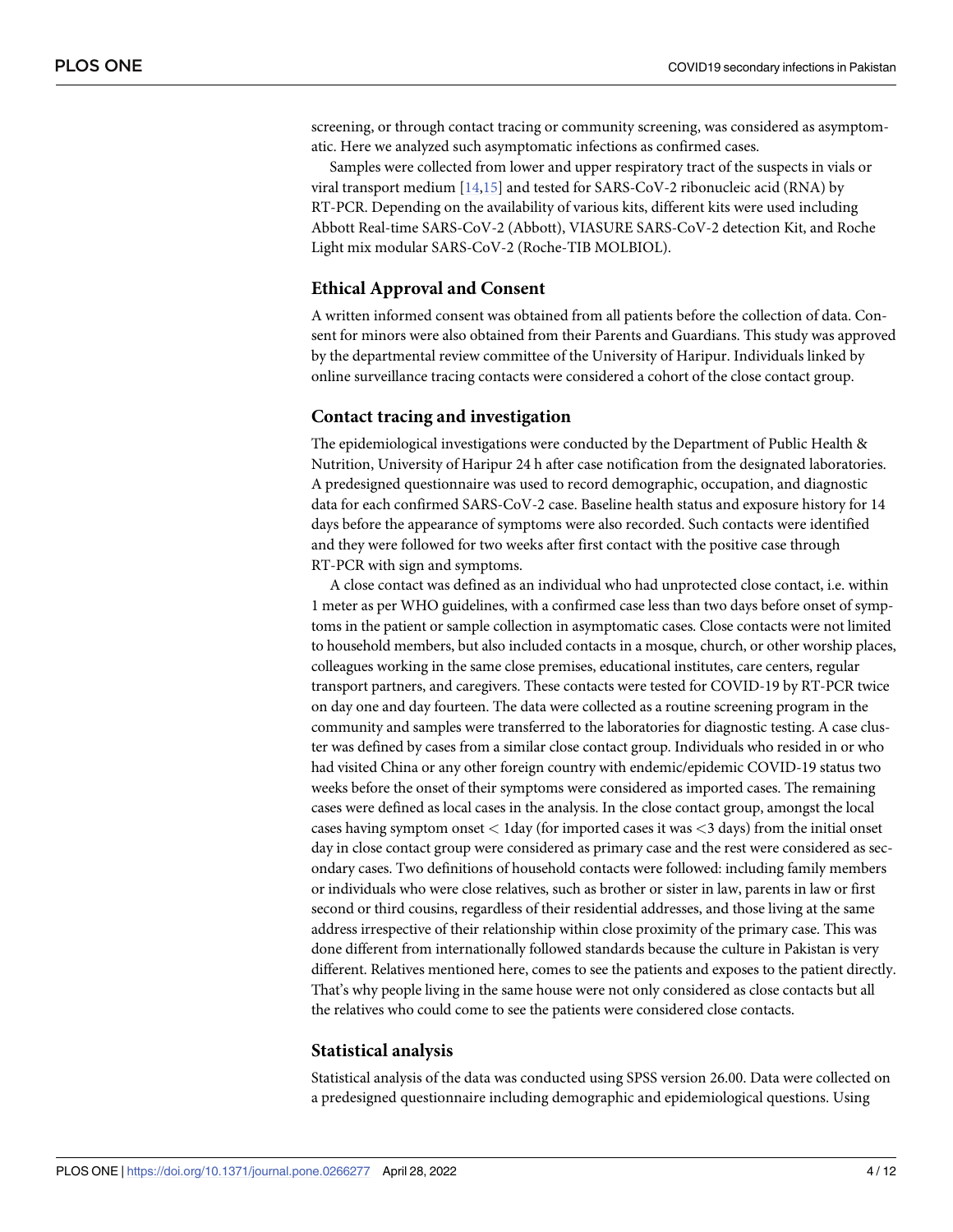screening, or through contact tracing or community screening, was considered as asymptomatic. Here we analyzed such asymptomatic infections as confirmed cases.

Samples were collected from lower and upper respiratory tract of the suspects in vials or viral transport medium [14,15] and tested for SARS-CoV-2 ribonucleic acid (RNA) by RT-PCR. Depending on the availability of various kits, different kits were used including Abbott Real-time SARS-CoV-2 (Abbott), VIASURE SARS-CoV-2 detection Kit, and Roche Light mix modular SARS-CoV-2 (Roche-TIB MOLBIOL).

#### **Ethical Approval and Consent**

A written informed consent was obtained from all patients before the collection of data. Consent for minors were also obtained from their Parents and Guardians. This study was approved by the departmental review committee of the University of Haripur. Individuals linked by online surveillance tracing contacts were considered a cohort of the close contact group.

#### **Contact tracing and investigation**

The epidemiological investigations were conducted by the Department of Public Health & Nutrition, University of Haripur 24 h after case notification from the designated laboratories. A predesigned questionnaire was used to record demographic, occupation, and diagnostic data for each confirmed SARS-CoV-2 case. Baseline health status and exposure history for 14 days before the appearance of symptoms were also recorded. Such contacts were identified and they were followed for two weeks after first contact with the positive case through RT-PCR with sign and symptoms.

A close contact was defined as an individual who had unprotected close contact, i.e. within 1 meter as per WHO guidelines, with a confirmed case less than two days before onset of symptoms in the patient or sample collection in asymptomatic cases. Close contacts were not limited to household members, but also included contacts in a mosque, church, or other worship places, colleagues working in the same close premises, educational institutes, care centers, regular transport partners, and caregivers. These contacts were tested for COVID-19 by RT-PCR twice on day one and day fourteen. The data were collected as a routine screening program in the community and samples were transferred to the laboratories for diagnostic testing. A case cluster was defined by cases from a similar close contact group. Individuals who resided in or who had visited China or any other foreign country with endemic/epidemic COVID-19 status two weeks before the onset of their symptoms were considered as imported cases. The remaining cases were defined as local cases in the analysis. In the close contact group, amongst the local cases having symptom onset *<* 1day (for imported cases it was *<*3 days) from the initial onset day in close contact group were considered as primary case and the rest were considered as secondary cases. Two definitions of household contacts were followed: including family members or individuals who were close relatives, such as brother or sister in law, parents in law or first second or third cousins, regardless of their residential addresses, and those living at the same address irrespective of their relationship within close proximity of the primary case. This was done different from internationally followed standards because the culture in Pakistan is very different. Relatives mentioned here, comes to see the patients and exposes to the patient directly. That's why people living in the same house were not only considered as close contacts but all the relatives who could come to see the patients were considered close contacts.

#### **Statistical analysis**

Statistical analysis of the data was conducted using SPSS version 26.00. Data were collected on a predesigned questionnaire including demographic and epidemiological questions. Using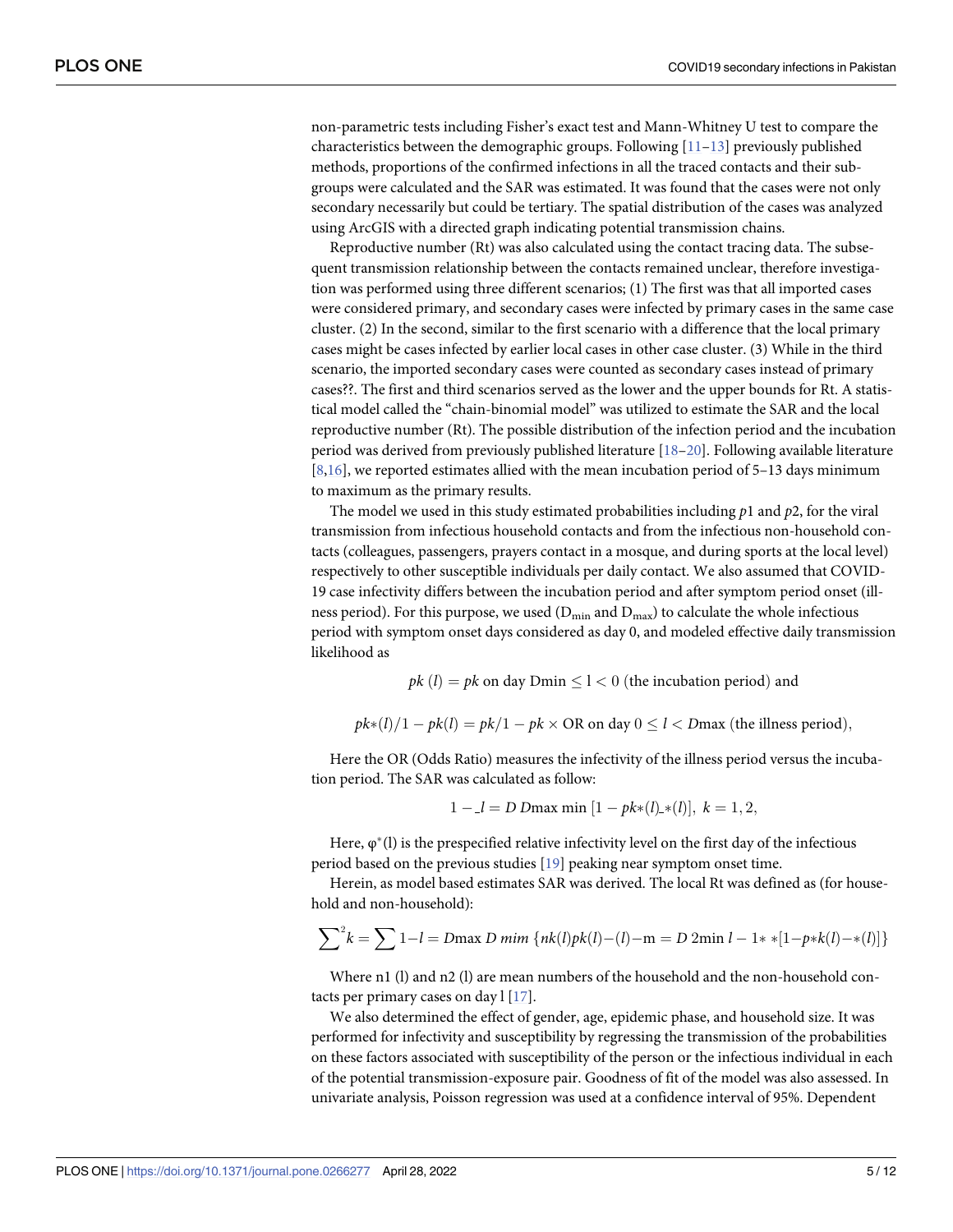non-parametric tests including Fisher's exact test and Mann-Whitney U test to compare the characteristics between the demographic groups. Following  $[11-13]$  previously published methods, proportions of the confirmed infections in all the traced contacts and their subgroups were calculated and the SAR was estimated. It was found that the cases were not only secondary necessarily but could be tertiary. The spatial distribution of the cases was analyzed using ArcGIS with a directed graph indicating potential transmission chains.

Reproductive number (Rt) was also calculated using the contact tracing data. The subsequent transmission relationship between the contacts remained unclear, therefore investigation was performed using three different scenarios; (1) The first was that all imported cases were considered primary, and secondary cases were infected by primary cases in the same case cluster. (2) In the second, similar to the first scenario with a difference that the local primary cases might be cases infected by earlier local cases in other case cluster. (3) While in the third scenario, the imported secondary cases were counted as secondary cases instead of primary cases??. The first and third scenarios served as the lower and the upper bounds for Rt. A statistical model called the "chain-binomial model" was utilized to estimate the SAR and the local reproductive number (Rt). The possible distribution of the infection period and the incubation period was derived from previously published literature [18–20]. Following available literature  $[8,16]$ , we reported estimates allied with the mean incubation period of 5–13 days minimum to maximum as the primary results.

The model we used in this study estimated probabilities including *p*1 and *p*2, for the viral transmission from infectious household contacts and from the infectious non-household contacts (colleagues, passengers, prayers contact in a mosque, and during sports at the local level) respectively to other susceptible individuals per daily contact. We also assumed that COVID-19 case infectivity differs between the incubation period and after symptom period onset (illness period). For this purpose, we used  $(D_{min}$  and  $D_{max}$ ) to calculate the whole infectious period with symptom onset days considered as day 0, and modeled effective daily transmission likelihood as

 $pk(l) = pk$  on day Dmin  $\leq l < 0$  (the incubation period) and

$$
pk*(l)/1 - pk(l) = pk/1 - pk \times OR
$$
 on day  $0 \le l < Dmax$  (the illness period),

Here the OR (Odds Ratio) measures the infectivity of the illness period versus the incubation period. The SAR was calculated as follow:

$$
1 - l = D
$$
 Dmax min  $[1 - pk*(l) * (l)], k = 1, 2,$ 

Here,  $\varphi^*(l)$  is the prespecified relative infectivity level on the first day of the infectious period based on the previous studies [19] peaking near symptom onset time.

Herein, as model based estimates SAR was derived. The local Rt was defined as (for household and non-household):

$$
\sum^{2} k = \sum 1 - l = D \max D \min \{nk(l)pk(l) - (l) - m = D 2 \min l - 1 **[1-p*k(l) - *(l)]\}
$$

Where n1 (l) and n2 (l) are mean numbers of the household and the non-household contacts per primary cases on day l [17].

We also determined the effect of gender, age, epidemic phase, and household size. It was performed for infectivity and susceptibility by regressing the transmission of the probabilities on these factors associated with susceptibility of the person or the infectious individual in each of the potential transmission-exposure pair. Goodness of fit of the model was also assessed. In univariate analysis, Poisson regression was used at a confidence interval of 95%. Dependent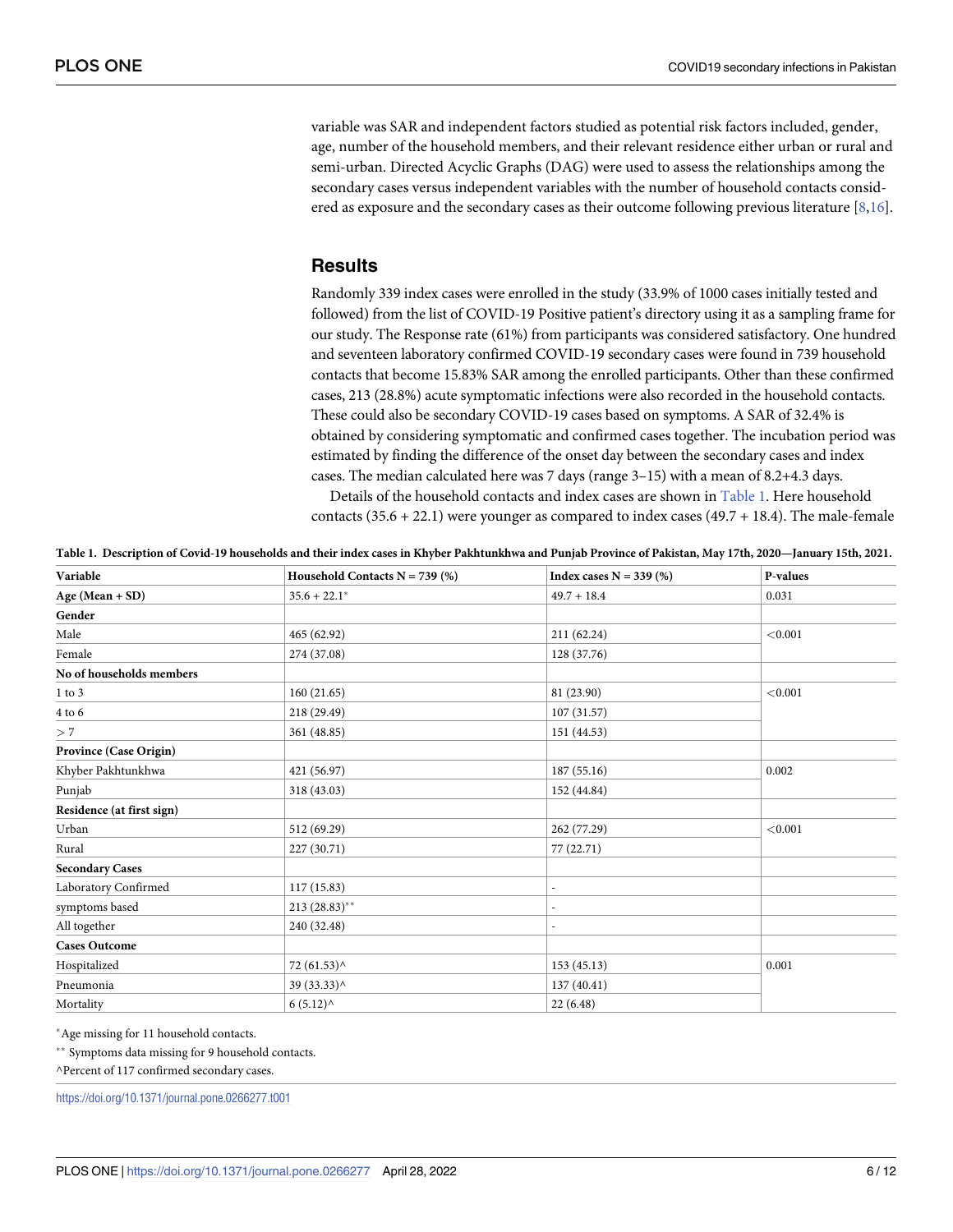variable was SAR and independent factors studied as potential risk factors included, gender, age, number of the household members, and their relevant residence either urban or rural and semi-urban. Directed Acyclic Graphs (DAG) were used to assess the relationships among the secondary cases versus independent variables with the number of household contacts considered as exposure and the secondary cases as their outcome following previous literature [8,16].

#### **Results**

Randomly 339 index cases were enrolled in the study (33.9% of 1000 cases initially tested and followed) from the list of COVID-19 Positive patient's directory using it as a sampling frame for our study. The Response rate (61%) from participants was considered satisfactory. One hundred and seventeen laboratory confirmed COVID-19 secondary cases were found in 739 household contacts that become 15.83% SAR among the enrolled participants. Other than these confirmed cases, 213 (28.8%) acute symptomatic infections were also recorded in the household contacts. These could also be secondary COVID-19 cases based on symptoms. A SAR of 32.4% is obtained by considering symptomatic and confirmed cases together. The incubation period was estimated by finding the difference of the onset day between the secondary cases and index cases. The median calculated here was 7 days (range 3–15) with a mean of 8.2+4.3 days.

Details of the household contacts and index cases are shown in Table 1. Here household contacts  $(35.6 + 22.1)$  were younger as compared to index cases  $(49.7 + 18.4)$ . The male-female

| Table 1. Description of Covid-19 households and their index cases in Khyber Pakhtunkhwa and Punjab Province of Pakistan, May 17th, 2020—January 15th, 2021. |  |  |  |  |
|-------------------------------------------------------------------------------------------------------------------------------------------------------------|--|--|--|--|
|-------------------------------------------------------------------------------------------------------------------------------------------------------------|--|--|--|--|

| Variable                  | Household Contacts $N = 739$ (%) | Index cases $N = 339$ (%) | P-values |  |
|---------------------------|----------------------------------|---------------------------|----------|--|
| Age (Mean + SD)           | $35.6 + 22.1*$                   | $49.7 + 18.4$             | 0.031    |  |
| Gender                    |                                  |                           |          |  |
| Male                      | 465 (62.92)                      | 211 (62.24)               | < 0.001  |  |
| Female                    | 274 (37.08)                      | 128 (37.76)               |          |  |
| No of households members  |                                  |                           |          |  |
| $1$ to $3$                | 160(21.65)                       | 81 (23.90)                | < 0.001  |  |
| $4$ to $6\,$              | 218 (29.49)                      | 107(31.57)                |          |  |
| >7                        | 361 (48.85)                      | 151 (44.53)               |          |  |
| Province (Case Origin)    |                                  |                           |          |  |
| Khyber Pakhtunkhwa        | 421 (56.97)                      | 187 (55.16)               | 0.002    |  |
| Punjab                    | 318 (43.03)                      | 152 (44.84)               |          |  |
| Residence (at first sign) |                                  |                           |          |  |
| Urban                     | 512 (69.29)                      | 262 (77.29)               |          |  |
| Rural                     | 227 (30.71)                      | 77 (22.71)                |          |  |
| <b>Secondary Cases</b>    |                                  |                           |          |  |
| Laboratory Confirmed      | 117(15.83)                       | $\overline{a}$            |          |  |
| symptoms based            | 213 (28.83)**                    | $\overline{a}$            |          |  |
| All together              | 240 (32.48)                      | ä,                        |          |  |
| <b>Cases Outcome</b>      |                                  |                           |          |  |
| Hospitalized              | 72 (61.53) ^                     | 153(45.13)                | 0.001    |  |
| Pneumonia                 | 39 (33.33) ^                     | 137 (40.41)               |          |  |
| Mortality                 | 6(5.12)                          | 22(6.48)                  |          |  |

�Age missing for 11 household contacts.

\*\* Symptoms data missing for 9 household contacts.

^Percent of 117 confirmed secondary cases.

<https://doi.org/10.1371/journal.pone.0266277.t001>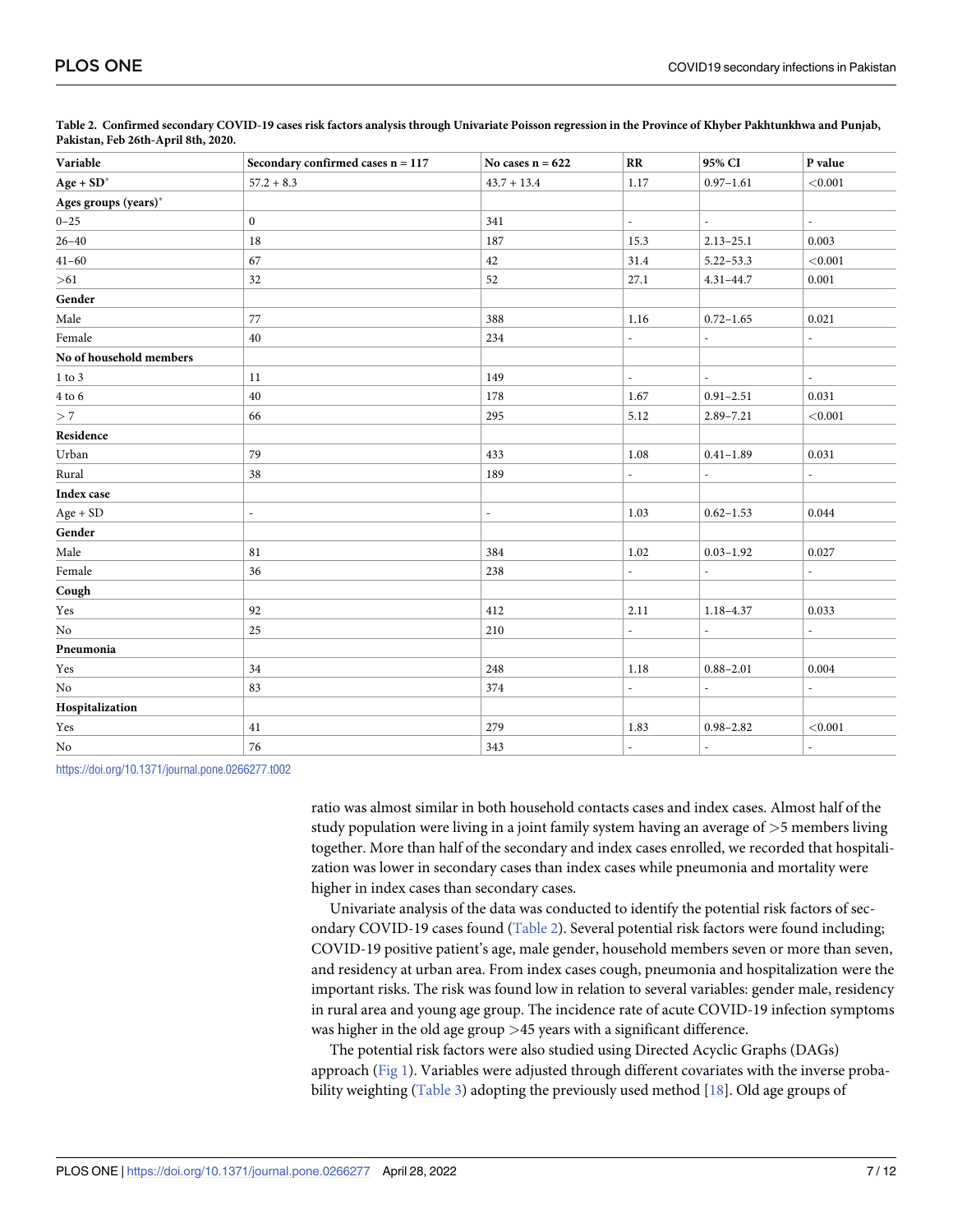| Variable                | Secondary confirmed cases $n = 117$ | No cases $n = 622$ | RR                       | 95% CI                   | P value                  |
|-------------------------|-------------------------------------|--------------------|--------------------------|--------------------------|--------------------------|
| $Age + SD^*$            | $57.2 + 8.3$                        | $43.7 + 13.4$      | 1.17                     | $0.97 - 1.61$            | < 0.001                  |
| Ages groups (years)*    |                                     |                    |                          |                          |                          |
| $0 - 25$                | $\boldsymbol{0}$                    | 341                | $\overline{\phantom{a}}$ | $\overline{\phantom{a}}$ | $\overline{\phantom{a}}$ |
| $26 - 40$               | 18                                  | 187                | 15.3                     | $2.13 - 25.1$            | 0.003                    |
| $41 - 60$               | 67                                  | 42                 | 31.4                     | $5.22 - 53.3$            | < 0.001                  |
| > 61                    | 32                                  | 52                 | 27.1                     | $4.31 - 44.7$            | 0.001                    |
| Gender                  |                                     |                    |                          |                          |                          |
| Male                    | 77                                  | 388                | 1.16                     | $0.72 - 1.65$            | 0.021                    |
| Female                  | 40                                  | 234                | $\overline{a}$           | $\overline{\phantom{0}}$ | $\overline{a}$           |
| No of household members |                                     |                    |                          |                          |                          |
| $1$ to $3\,$            | 11                                  | 149                | $\overline{\phantom{a}}$ | $\overline{\phantom{0}}$ | $\overline{\phantom{a}}$ |
| $4$ to $6$              | 40                                  | 178                | 1.67                     | $0.91 - 2.51$            | 0.031                    |
| >7                      | 66                                  | 295                | 5.12                     | $2.89 - 7.21$            | < 0.001                  |
| Residence               |                                     |                    |                          |                          |                          |
| Urban                   | 79                                  | 433                | 1.08                     | $0.41 - 1.89$            | 0.031                    |
| Rural                   | 38                                  | 189                | $\overline{\phantom{a}}$ | $\overline{\phantom{a}}$ | $\overline{\phantom{a}}$ |
| Index case              |                                     |                    |                          |                          |                          |
| $Age + SD$              | $\overline{a}$                      | ÷,                 | 1.03                     | $0.62 - 1.53$            | 0.044                    |
| Gender                  |                                     |                    |                          |                          |                          |
| Male                    | 81                                  | 384                | 1.02                     | $0.03 - 1.92$            | 0.027                    |
| Female                  | 36                                  | 238                | $\overline{\phantom{a}}$ |                          | $\overline{\phantom{a}}$ |
| Cough                   |                                     |                    |                          |                          |                          |
| Yes                     | 92                                  | 412                | 2.11                     | $1.18 - 4.37$            | 0.033                    |
| No                      | 25                                  | 210                | ÷,                       | $\overline{\phantom{0}}$ | L.                       |
| Pneumonia               |                                     |                    |                          |                          |                          |
| Yes                     | 34                                  | 248                | 1.18                     | $0.88 - 2.01$            | 0.004                    |
| No                      | 83                                  | 374                |                          |                          |                          |
| Hospitalization         |                                     |                    |                          |                          |                          |
| Yes                     | 41                                  | 279                | 1.83                     | $0.98 - 2.82$            | < 0.001                  |
| No                      | 76                                  | 343                | $\sim$                   | $\mathcal{L}$            | $\overline{a}$           |

Table 2. Confirmed secondary COVID-19 cases risk factors analysis through Univariate Poisson regression in the Province of Khyber Pakhtunkhwa and Punjab, **Pakistan, Feb 26th-April 8th, 2020.**

<https://doi.org/10.1371/journal.pone.0266277.t002>

ratio was almost similar in both household contacts cases and index cases. Almost half of the study population were living in a joint family system having an average of *>*5 members living together. More than half of the secondary and index cases enrolled, we recorded that hospitalization was lower in secondary cases than index cases while pneumonia and mortality were higher in index cases than secondary cases.

Univariate analysis of the data was conducted to identify the potential risk factors of secondary COVID-19 cases found (Table 2). Several potential risk factors were found including; COVID-19 positive patient's age, male gender, household members seven or more than seven, and residency at urban area. From index cases cough, pneumonia and hospitalization were the important risks. The risk was found low in relation to several variables: gender male, residency in rural area and young age group. The incidence rate of acute COVID-19 infection symptoms was higher in the old age group *>*45 years with a significant difference.

The potential risk factors were also studied using Directed Acyclic Graphs (DAGs) approach ( $Fig 1$ ). Variables were adjusted through different covariates with the inverse probability weighting (Table 3) adopting the previously used method  $[18]$ . Old age groups of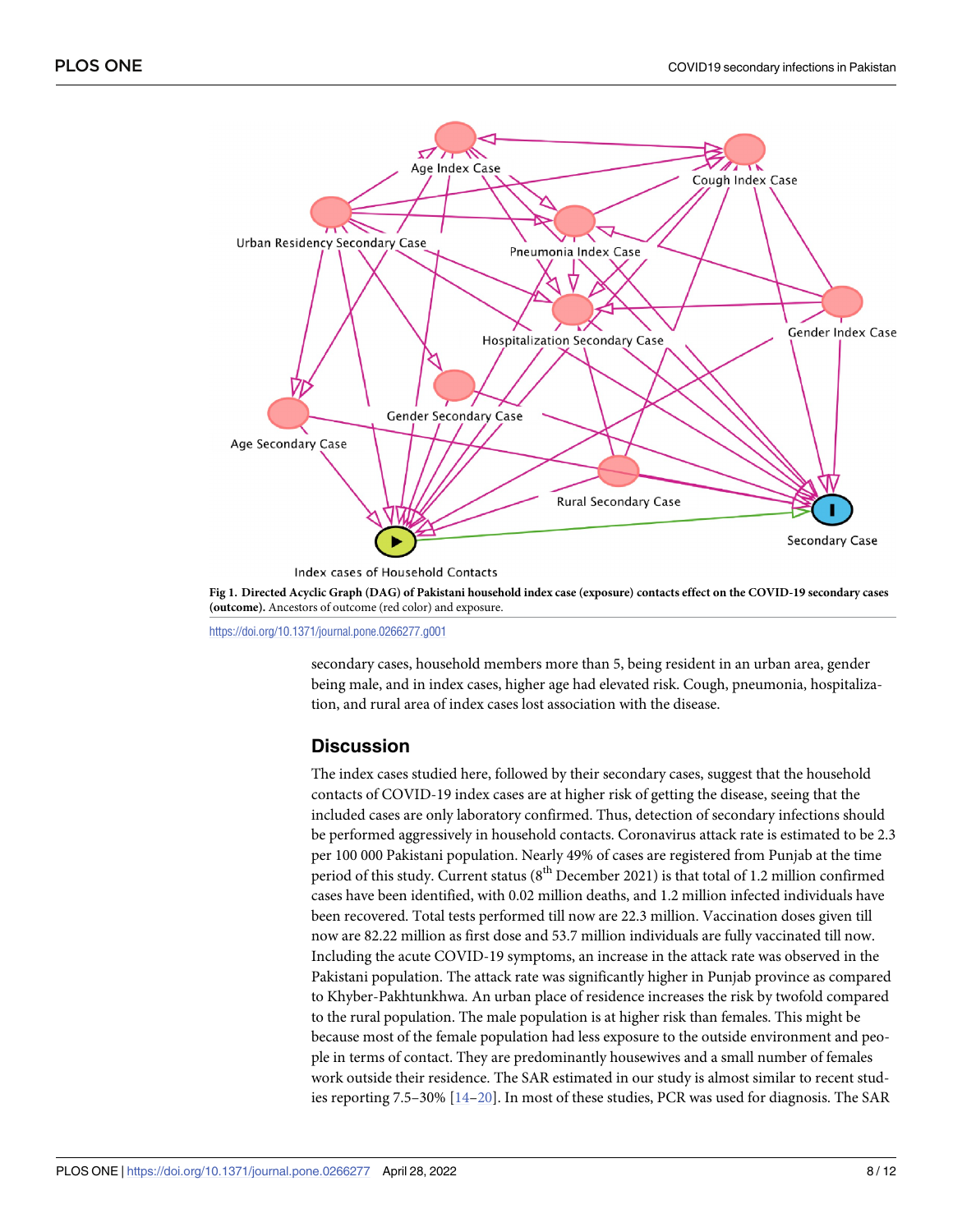

Fig 1. Directed Acyclic Graph (DAG) of Pakistani household index case (exposure) contacts effect on the COVID-19 secondary cases **(outcome).** Ancestors of outcome (red color) and exposure.

<https://doi.org/10.1371/journal.pone.0266277.g001>

secondary cases, household members more than 5, being resident in an urban area, gender being male, and in index cases, higher age had elevated risk. Cough, pneumonia, hospitalization, and rural area of index cases lost association with the disease.

## **Discussion**

The index cases studied here, followed by their secondary cases, suggest that the household contacts of COVID-19 index cases are at higher risk of getting the disease, seeing that the included cases are only laboratory confirmed. Thus, detection of secondary infections should be performed aggressively in household contacts. Coronavirus attack rate is estimated to be 2.3 per 100 000 Pakistani population. Nearly 49% of cases are registered from Punjab at the time period of this study. Current status ( $8<sup>th</sup>$  December 2021) is that total of 1.2 million confirmed cases have been identified, with 0.02 million deaths, and 1.2 million infected individuals have been recovered. Total tests performed till now are 22.3 million. Vaccination doses given till now are 82.22 million as first dose and 53.7 million individuals are fully vaccinated till now. Including the acute COVID-19 symptoms, an increase in the attack rate was observed in the Pakistani population. The attack rate was significantly higher in Punjab province as compared to Khyber-Pakhtunkhwa. An urban place of residence increases the risk by twofold compared to the rural population. The male population is at higher risk than females. This might be because most of the female population had less exposure to the outside environment and people in terms of contact. They are predominantly housewives and a small number of females work outside their residence. The SAR estimated in our study is almost similar to recent studies reporting 7.5–30% [14–20]. In most of these studies, PCR was used for diagnosis. The SAR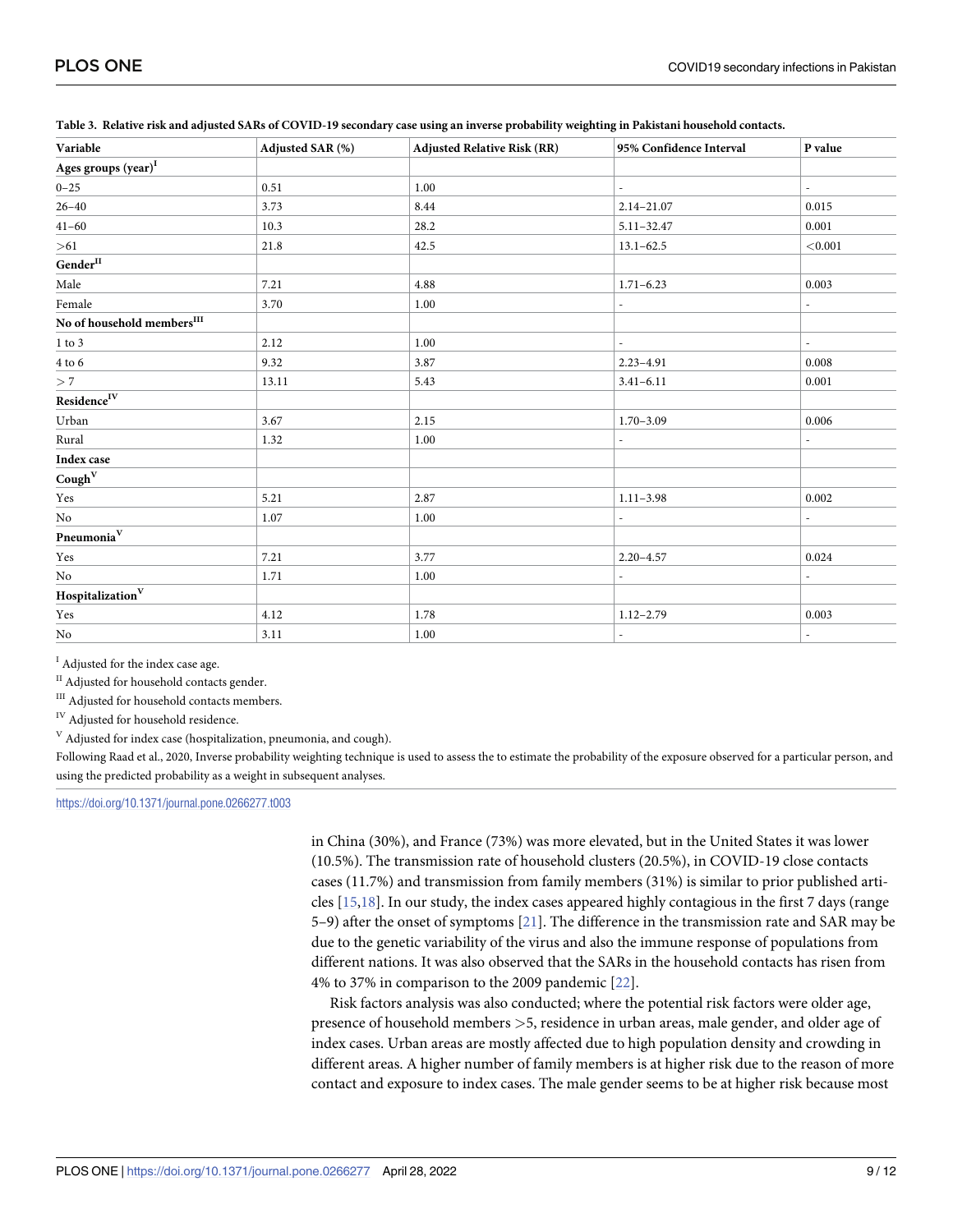| Adjusted SAR (%) | <b>Adjusted Relative Risk (RR)</b> | 95% Confidence Interval  | P value                  |
|------------------|------------------------------------|--------------------------|--------------------------|
|                  |                                    |                          |                          |
| 0.51             | 1.00                               | $\overline{\phantom{a}}$ | ٠                        |
| 3.73             | 8.44                               | $2.14 - 21.07$           | 0.015                    |
| 10.3             | 28.2                               | $5.11 - 32.47$           | 0.001                    |
| 21.8             | 42.5                               | $13.1 - 62.5$            | < 0.001                  |
|                  |                                    |                          |                          |
| 7.21             | 4.88                               | $1.71 - 6.23$            | 0.003                    |
| 3.70             | 1.00                               | $\overline{\phantom{a}}$ | $\overline{\phantom{a}}$ |
|                  |                                    |                          |                          |
| 2.12             | 1.00                               |                          | ٠                        |
| 9.32             | 3.87                               | $2.23 - 4.91$            | 0.008                    |
| 13.11            | 5.43                               | $3.41 - 6.11$            | 0.001                    |
|                  |                                    |                          |                          |
| 3.67             | 2.15                               | $1.70 - 3.09$            | 0.006                    |
| 1.32             | 1.00                               | $\overline{\phantom{a}}$ | ٠                        |
|                  |                                    |                          |                          |
|                  |                                    |                          |                          |
| 5.21             | 2.87                               | $1.11 - 3.98$            | 0.002                    |
| 1.07             | 1.00                               | $\overline{\phantom{a}}$ | $\overline{\phantom{a}}$ |
|                  |                                    |                          |                          |
| 7.21             | 3.77                               | $2.20 - 4.57$            | 0.024                    |
| 1.71             | 1.00                               |                          |                          |
|                  |                                    |                          |                          |
| 4.12             | 1.78                               | $1.12 - 2.79$            | 0.003                    |
| 3.11             | 1.00                               | $\overline{\phantom{a}}$ | $\overline{\phantom{a}}$ |
|                  |                                    |                          |                          |

Table 3. Relative risk and adjusted SARs of COVID-19 secondary case using an inverse probability weighting in Pakistani household contacts.

<sup>I</sup> Adjusted for the index case age.

<sup>II</sup> Adjusted for household contacts gender.

<sup>III</sup> Adjusted for household contacts members.

IV Adjusted for household residence.

 $V$  Adjusted for index case (hospitalization, pneumonia, and cough).

Following Raad et al., 2020, Inverse probability weighting technique is used to assess the to estimate the probability of the exposure observed for a particular person, and using the predicted probability as a weight in subsequent analyses.

<https://doi.org/10.1371/journal.pone.0266277.t003>

in China (30%), and France (73%) was more elevated, but in the United States it was lower (10.5%). The transmission rate of household clusters (20.5%), in COVID-19 close contacts cases (11.7%) and transmission from family members (31%) is similar to prior published articles [15,18]. In our study, the index cases appeared highly contagious in the first 7 days (range 5–9) after the onset of symptoms [21]. The difference in the transmission rate and SAR may be due to the genetic variability of the virus and also the immune response of populations from different nations. It was also observed that the SARs in the household contacts has risen from 4% to 37% in comparison to the 2009 pandemic [22].

Risk factors analysis was also conducted; where the potential risk factors were older age, presence of household members *>*5, residence in urban areas, male gender, and older age of index cases. Urban areas are mostly affected due to high population density and crowding in different areas. A higher number of family members is at higher risk due to the reason of more contact and exposure to index cases. The male gender seems to be at higher risk because most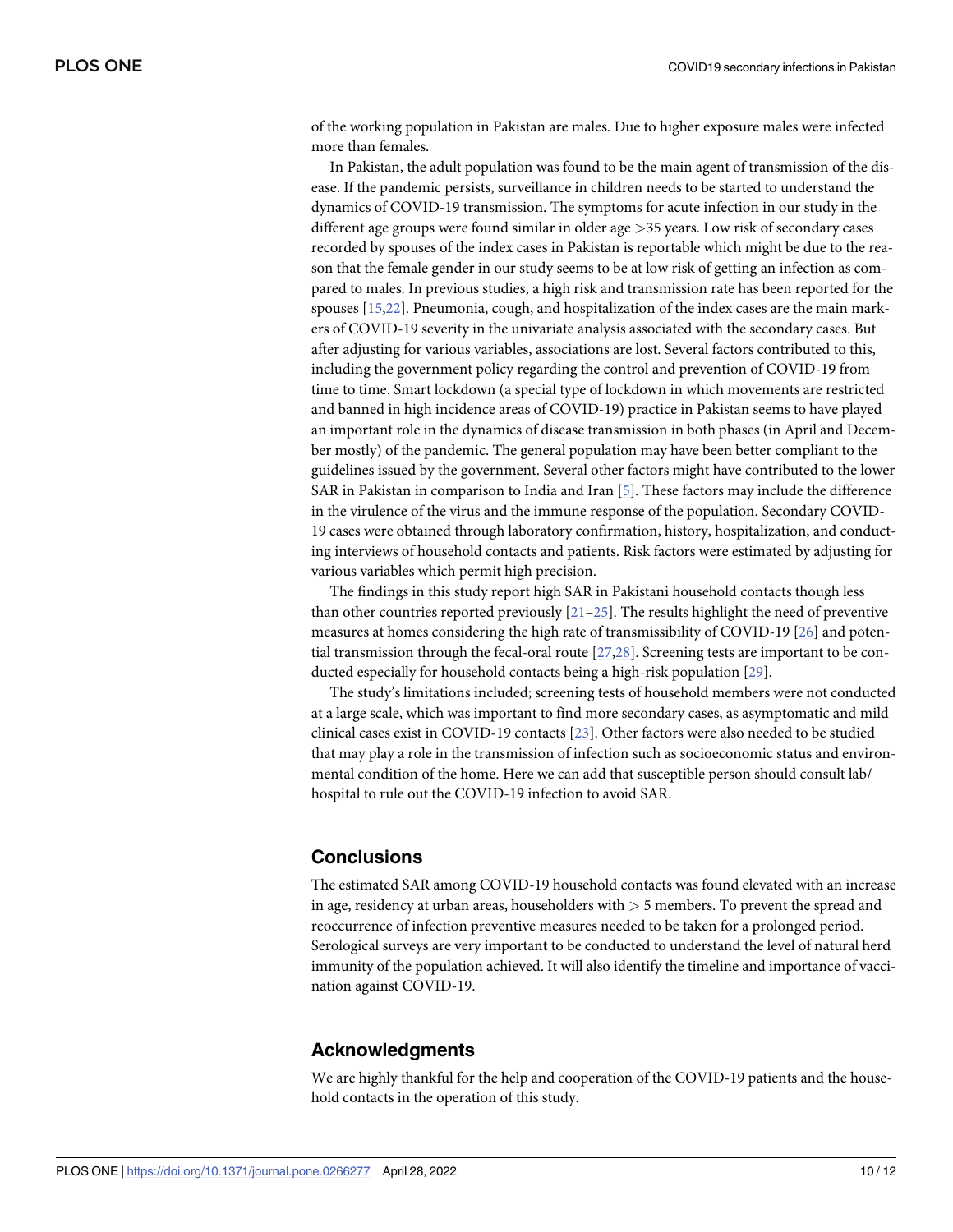of the working population in Pakistan are males. Due to higher exposure males were infected more than females.

In Pakistan, the adult population was found to be the main agent of transmission of the disease. If the pandemic persists, surveillance in children needs to be started to understand the dynamics of COVID-19 transmission. The symptoms for acute infection in our study in the different age groups were found similar in older age *>*35 years. Low risk of secondary cases recorded by spouses of the index cases in Pakistan is reportable which might be due to the reason that the female gender in our study seems to be at low risk of getting an infection as compared to males. In previous studies, a high risk and transmission rate has been reported for the spouses [15,22]. Pneumonia, cough, and hospitalization of the index cases are the main markers of COVID-19 severity in the univariate analysis associated with the secondary cases. But after adjusting for various variables, associations are lost. Several factors contributed to this, including the government policy regarding the control and prevention of COVID-19 from time to time. Smart lockdown (a special type of lockdown in which movements are restricted and banned in high incidence areas of COVID-19) practice in Pakistan seems to have played an important role in the dynamics of disease transmission in both phases (in April and December mostly) of the pandemic. The general population may have been better compliant to the guidelines issued by the government. Several other factors might have contributed to the lower SAR in Pakistan in comparison to India and Iran [5]. These factors may include the difference in the virulence of the virus and the immune response of the population. Secondary COVID-19 cases were obtained through laboratory confirmation, history, hospitalization, and conducting interviews of household contacts and patients. Risk factors were estimated by adjusting for various variables which permit high precision.

The findings in this study report high SAR in Pakistani household contacts though less than other countries reported previously  $[21-25]$ . The results highlight the need of preventive measures at homes considering the high rate of transmissibility of COVID-19 [26] and potential transmission through the fecal-oral route [27,28]. Screening tests are important to be conducted especially for household contacts being a high-risk population [29].

The study's limitations included; screening tests of household members were not conducted at a large scale, which was important to find more secondary cases, as asymptomatic and mild clinical cases exist in COVID-19 contacts [23]. Other factors were also needed to be studied that may play a role in the transmission of infection such as socioeconomic status and environmental condition of the home. Here we can add that susceptible person should consult lab/ hospital to rule out the COVID-19 infection to avoid SAR.

#### **Conclusions**

The estimated SAR among COVID-19 household contacts was found elevated with an increase in age, residency at urban areas, householders with *>* 5 members. To prevent the spread and reoccurrence of infection preventive measures needed to be taken for a prolonged period. Serological surveys are very important to be conducted to understand the level of natural herd immunity of the population achieved. It will also identify the timeline and importance of vaccination against COVID-19.

#### **Acknowledgments**

We are highly thankful for the help and cooperation of the COVID-19 patients and the household contacts in the operation of this study.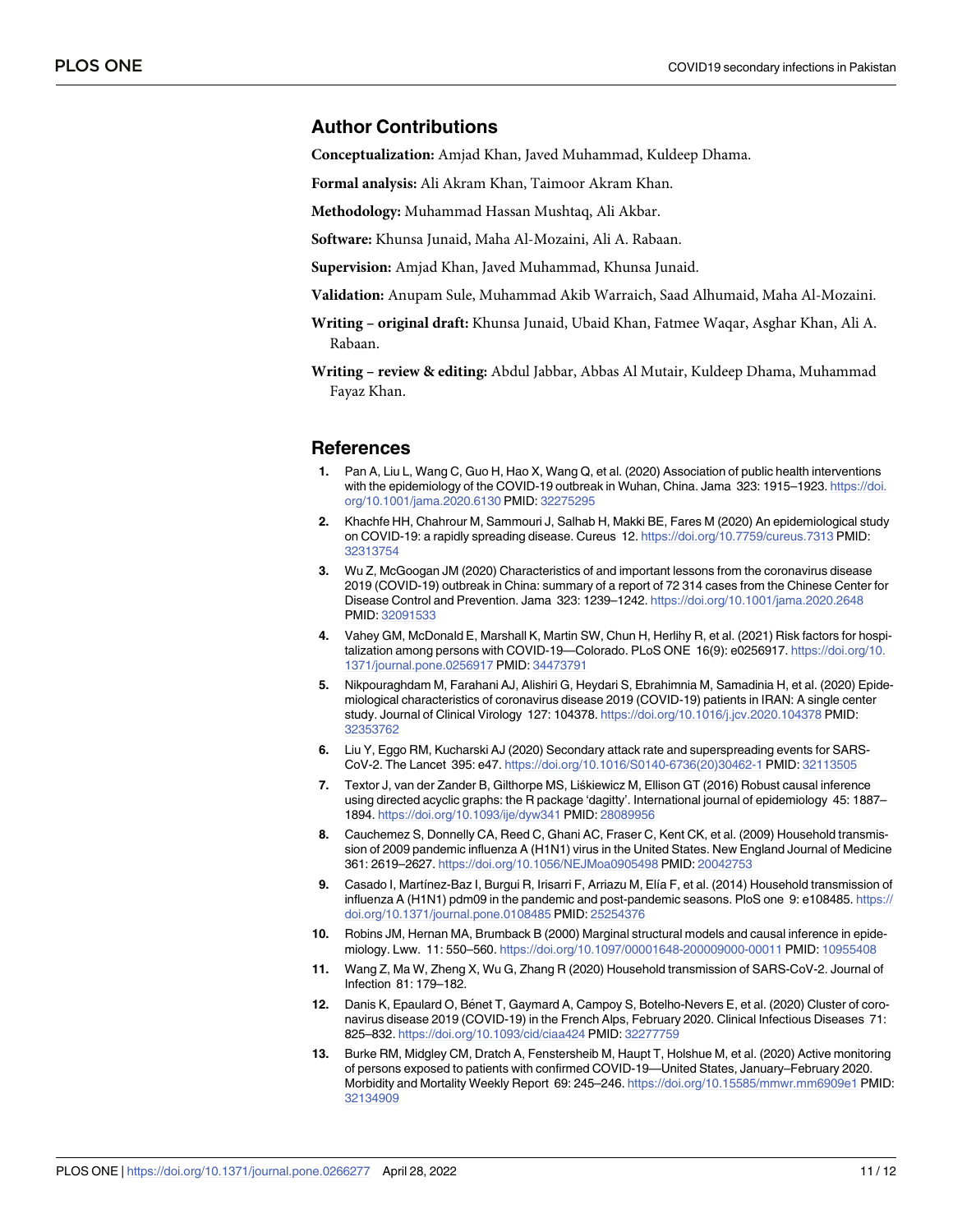#### **Author Contributions**

**Conceptualization:** Amjad Khan, Javed Muhammad, Kuldeep Dhama.

**Formal analysis:** Ali Akram Khan, Taimoor Akram Khan.

**Methodology:** Muhammad Hassan Mushtaq, Ali Akbar.

**Software:** Khunsa Junaid, Maha Al-Mozaini, Ali A. Rabaan.

**Supervision:** Amjad Khan, Javed Muhammad, Khunsa Junaid.

**Validation:** Anupam Sule, Muhammad Akib Warraich, Saad Alhumaid, Maha Al-Mozaini.

- **Writing – original draft:** Khunsa Junaid, Ubaid Khan, Fatmee Waqar, Asghar Khan, Ali A. Rabaan.
- **Writing – review & editing:** Abdul Jabbar, Abbas Al Mutair, Kuldeep Dhama, Muhammad Fayaz Khan.

#### **References**

- **1.** Pan A, Liu L, Wang C, Guo H, Hao X, Wang Q, et al. (2020) Association of public health interventions with the epidemiology of the COVID-19 outbreak in Wuhan, China. Jama 323: 1915–1923. [https://doi.](https://doi.org/10.1001/jama.2020.6130) [org/10.1001/jama.2020.6130](https://doi.org/10.1001/jama.2020.6130) PMID: [32275295](http://www.ncbi.nlm.nih.gov/pubmed/32275295)
- **2.** Khachfe HH, Chahrour M, Sammouri J, Salhab H, Makki BE, Fares M (2020) An epidemiological study on COVID-19: a rapidly spreading disease. Cureus 12. <https://doi.org/10.7759/cureus.7313> PMID: [32313754](http://www.ncbi.nlm.nih.gov/pubmed/32313754)
- **3.** Wu Z, McGoogan JM (2020) Characteristics of and important lessons from the coronavirus disease 2019 (COVID-19) outbreak in China: summary of a report of 72 314 cases from the Chinese Center for Disease Control and Prevention. Jama 323: 1239–1242. <https://doi.org/10.1001/jama.2020.2648> PMID: [32091533](http://www.ncbi.nlm.nih.gov/pubmed/32091533)
- **4.** Vahey GM, McDonald E, Marshall K, Martin SW, Chun H, Herlihy R, et al. (2021) Risk factors for hospitalization among persons with COVID-19—Colorado. PLoS ONE 16(9): e0256917. [https://doi.org/10.](https://doi.org/10.1371/journal.pone.0256917) [1371/journal.pone.0256917](https://doi.org/10.1371/journal.pone.0256917) PMID: [34473791](http://www.ncbi.nlm.nih.gov/pubmed/34473791)
- **5.** Nikpouraghdam M, Farahani AJ, Alishiri G, Heydari S, Ebrahimnia M, Samadinia H, et al. (2020) Epidemiological characteristics of coronavirus disease 2019 (COVID-19) patients in IRAN: A single center study. Journal of Clinical Virology 127: 104378. <https://doi.org/10.1016/j.jcv.2020.104378> PMID: [32353762](http://www.ncbi.nlm.nih.gov/pubmed/32353762)
- **6.** Liu Y, Eggo RM, Kucharski AJ (2020) Secondary attack rate and superspreading events for SARS-CoV-2. The Lancet 395: e47. [https://doi.org/10.1016/S0140-6736\(20\)30462-1](https://doi.org/10.1016/S0140-6736%2820%2930462-1) PMID: [32113505](http://www.ncbi.nlm.nih.gov/pubmed/32113505)
- **7.** Textor J, van der Zander B, Gilthorpe MS, Liśkiewicz M, Ellison GT (2016) Robust causal inference using directed acyclic graphs: the R package 'dagitty'. International journal of epidemiology 45: 1887– 1894. <https://doi.org/10.1093/ije/dyw341> PMID: [28089956](http://www.ncbi.nlm.nih.gov/pubmed/28089956)
- **8.** Cauchemez S, Donnelly CA, Reed C, Ghani AC, Fraser C, Kent CK, et al. (2009) Household transmission of 2009 pandemic influenza A (H1N1) virus in the United States. New England Journal of Medicine 361: 2619–2627. <https://doi.org/10.1056/NEJMoa0905498> PMID: [20042753](http://www.ncbi.nlm.nih.gov/pubmed/20042753)
- **9.** Casado I, Martínez-Baz I, Burgui R, Irisarri F, Arriazu M, Elía F, et al. (2014) Household transmission of influenza A (H1N1) pdm09 in the pandemic and post-pandemic seasons. PloS one 9: e108485. [https://](https://doi.org/10.1371/journal.pone.0108485) [doi.org/10.1371/journal.pone.0108485](https://doi.org/10.1371/journal.pone.0108485) PMID: [25254376](http://www.ncbi.nlm.nih.gov/pubmed/25254376)
- **10.** Robins JM, Hernan MA, Brumback B (2000) Marginal structural models and causal inference in epidemiology. Lww. 11: 550–560. <https://doi.org/10.1097/00001648-200009000-00011> PMID: [10955408](http://www.ncbi.nlm.nih.gov/pubmed/10955408)
- **11.** Wang Z, Ma W, Zheng X, Wu G, Zhang R (2020) Household transmission of SARS-CoV-2. Journal of Infection 81: 179–182.
- 12. Danis K, Epaulard O, Bénet T, Gaymard A, Campoy S, Botelho-Nevers E, et al. (2020) Cluster of coronavirus disease 2019 (COVID-19) in the French Alps, February 2020. Clinical Infectious Diseases 71: 825–832. <https://doi.org/10.1093/cid/ciaa424> PMID: [32277759](http://www.ncbi.nlm.nih.gov/pubmed/32277759)
- **13.** Burke RM, Midgley CM, Dratch A, Fenstersheib M, Haupt T, Holshue M, et al. (2020) Active monitoring of persons exposed to patients with confirmed COVID-19—United States, January–February 2020. Morbidity and Mortality Weekly Report 69: 245–246. <https://doi.org/10.15585/mmwr.mm6909e1> PMID: [32134909](http://www.ncbi.nlm.nih.gov/pubmed/32134909)